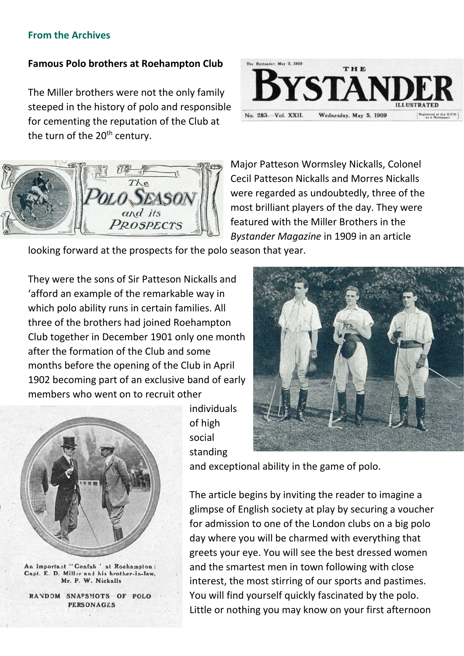## **From the Archives**

## **Famous Polo brothers at Roehampton Club**

The Miller brothers were not the only family steeped in the history of polo and responsible for cementing the reputation of the Club at the turn of the 20<sup>th</sup> century.





Major Patteson Wormsley Nickalls, Colonel Cecil Patteson Nickalls and Morres Nickalls were regarded as undoubtedly, three of the most brilliant players of the day. They were featured with the Miller Brothers in the *Bystander Magazine* in 1909 in an article

looking forward at the prospects for the polo season that year.

They were the sons of Sir Patteson Nickalls and 'afford an example of the remarkable way in which polo ability runs in certain families. All three of the brothers had joined Roehampton Club together in December 1901 only one month after the formation of the Club and some months before the opening of the Club in April 1902 becoming part of an exclusive band of early members who went on to recruit other



An Important "Confab ' at Roehampton: Capt. E. D. Millar and his brother-in-law. Mr. P. W. Nickalls

RANDOM SNAPSHOTS OF POLO **PERSONAGES** 

individuals of high social standing



and exceptional ability in the game of polo.

The article begins by inviting the reader to imagine a glimpse of English society at play by securing a voucher for admission to one of the London clubs on a big polo day where you will be charmed with everything that greets your eye. You will see the best dressed women and the smartest men in town following with close interest, the most stirring of our sports and pastimes. You will find yourself quickly fascinated by the polo. Little or nothing you may know on your first afternoon